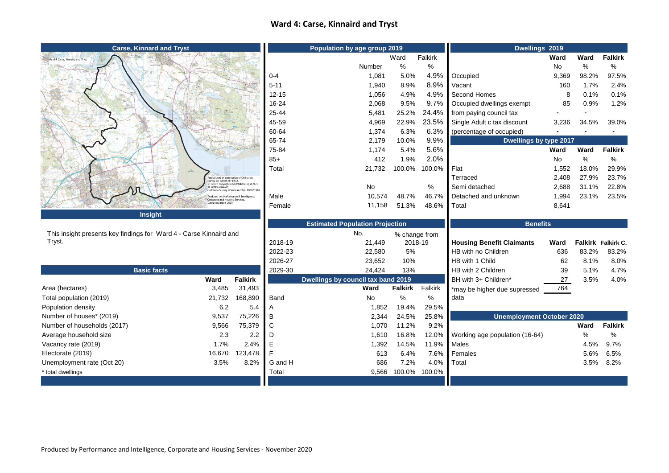## **Ward 4: Carse, Kinnaird and Tryst**

| <b>Carse, Kinnard and Tryst</b>                                    |                                                                             |                                                                                  | Population by age group 2019 |                                        |                     |             | Dwellings 2019                       |             |             |                    |
|--------------------------------------------------------------------|-----------------------------------------------------------------------------|----------------------------------------------------------------------------------|------------------------------|----------------------------------------|---------------------|-------------|--------------------------------------|-------------|-------------|--------------------|
| Ward 4 Carse, Kinnaird and Tryst                                   |                                                                             |                                                                                  |                              |                                        | Ward                | Falkirk     |                                      | Ward        | Ward        | <b>Falkirk</b>     |
|                                                                    |                                                                             |                                                                                  |                              | Number                                 | $\%$                | $\%$        |                                      | No          | $\%$        | %                  |
|                                                                    |                                                                             |                                                                                  | $0 - 4$                      | 1,081                                  | 5.0%                | 4.9%        | Occupied                             | 9,369       | 98.2%       | 97.5%              |
|                                                                    |                                                                             |                                                                                  | $5 - 11$                     | 1,940                                  | 8.9%                | 8.9%        | Vacant                               | 160         | 1.7%        | 2.4%               |
|                                                                    |                                                                             |                                                                                  | $12 - 15$                    | 1,056                                  | 4.9%                | 4.9%        | Second Homes                         | 8           | 0.1%        | 0.1%               |
|                                                                    |                                                                             |                                                                                  | 16-24                        | 2,068                                  | 9.5%                | 9.7%        | Occupied dwellings exempt            | 85          | 0.9%        | 1.2%               |
|                                                                    |                                                                             |                                                                                  | 25-44                        | 5,481                                  | 25.2%               | 24.4%       | from paying council tax              |             |             |                    |
|                                                                    |                                                                             |                                                                                  | 45-59                        | 4,969                                  | 22.9%               | 23.5%       | Single Adult c tax discount          | 3,236       | 34.5%       | 39.0%              |
|                                                                    |                                                                             |                                                                                  | 60-64                        | 1,374                                  | 6.3%                | 6.3%        | (percentage of occupied)             |             |             |                    |
|                                                                    |                                                                             |                                                                                  | 65-74                        | 2,179                                  | 10.0%               | 9.9%        | Dwellings by type 2017               |             |             |                    |
|                                                                    |                                                                             |                                                                                  | 75-84                        | 1,174                                  | 5.4%                | 5.6%        |                                      | <b>Ward</b> | Ward        | <b>Falkirk</b>     |
|                                                                    |                                                                             |                                                                                  | $85+$                        | 412                                    | 1.9%                | 2.0%        |                                      | No          | %           | %                  |
|                                                                    |                                                                             |                                                                                  | Total                        | 21,732                                 | 100.0%              | 100.0%      | Flat                                 | 1,552       | 18.0%       | 29.9%              |
|                                                                    | eproduced by permission of Ordnance<br>urvey on behalf of HMSO.             |                                                                                  |                              |                                        |                     |             | Terraced                             | 2,408       | 27.9%       | 23.7%              |
|                                                                    | Il rights reserved                                                          | Crown copyright and database right 2020<br>Inance Survey Licence number 10002338 |                              | No                                     |                     | %           | Semi detached                        | 2,688       | 31.1%       | 22.8%              |
|                                                                    | Produced by: Performance & Intelligence,<br>Corporate and Housing Services, |                                                                                  | Male                         | 10,574                                 | 48.7%               | 46.7%       | Detached and unknown                 | 1,994       | 23.1%       | 23.5%              |
|                                                                    | Date: November 2020                                                         |                                                                                  | Female                       | 11,158                                 | 51.3%               | 48.6%       | Total                                | 8,641       |             |                    |
| <b>Insight</b>                                                     |                                                                             |                                                                                  |                              |                                        |                     |             |                                      |             |             |                    |
|                                                                    |                                                                             |                                                                                  |                              |                                        |                     |             |                                      |             |             |                    |
|                                                                    |                                                                             |                                                                                  |                              | <b>Estimated Population Projection</b> |                     |             | <b>Benefits</b>                      |             |             |                    |
| This insight presents key findings for Ward 4 - Carse Kinnaird and |                                                                             |                                                                                  |                              | No.                                    | % change from       |             |                                      |             |             |                    |
| Tryst.                                                             |                                                                             |                                                                                  | 2018-19                      | 21,449                                 | 2018-19             |             | <b>Housing Benefit Claimants</b>     | <b>Ward</b> |             | Falkirk Falkirk C. |
|                                                                    |                                                                             |                                                                                  | 2022-23                      | 22,580                                 | 5%                  |             | HB with no Children                  | 636         | 83.2%       | 83.2%              |
|                                                                    |                                                                             |                                                                                  | 2026-27                      | 23,652                                 | 10%                 |             | HB with 1 Child                      | 62          | 8.1%        | 8.0%               |
| <b>Basic facts</b>                                                 |                                                                             |                                                                                  | 2029-30                      | 24,424                                 | 13%                 |             | HB with 2 Children                   | 39          | 5.1%        | 4.7%               |
|                                                                    | Ward                                                                        | <b>Falkirk</b>                                                                   |                              | Dwellings by council tax band 2019     |                     |             | BH with 3+ Children*                 | 27          | 3.5%        | 4.0%               |
| Area (hectares)                                                    | 3,485                                                                       | 31,493                                                                           |                              | Ward                                   | <b>Falkirk</b>      | Falkirk     | *may be higher due supressed         | 764         |             |                    |
| Total population (2019)                                            | 21,732                                                                      | 168,890                                                                          | Band                         | No                                     | %                   | $\%$        | data                                 |             |             |                    |
| Population density                                                 | 6.2                                                                         | 5.4                                                                              |                              | 1,852                                  | 19.4%               | 29.5%       |                                      |             |             |                    |
| Number of houses* (2019)                                           | 9,537                                                                       | 75,226                                                                           | B                            | 2,344                                  | 24.5%               | 25.8%       | <b>Unemployment October 2020</b>     |             |             |                    |
| Number of households (2017)                                        | 9,566                                                                       | 75,379                                                                           | C                            | 1,070                                  | 11.2%               | 9.2%        |                                      |             | <b>Ward</b> | <b>Falkirk</b>     |
| Average household size                                             | 2.3                                                                         | 2.2                                                                              | D                            | 1,610                                  | 16.8%               |             | 12.0% Working age population (16-64) |             | %           | %                  |
| Vacancy rate (2019)                                                | 1.7%                                                                        | 2.4%                                                                             | E                            | 1,392                                  | 14.5%               | 11.9% Males |                                      |             | 4.5%        | $9.7\%$            |
| Electorate (2019)                                                  | 16,670                                                                      | 123,478                                                                          |                              | 613                                    | 6.4%                | 7.6%        | Females                              |             | 5.6%        | 6.5%               |
| Unemployment rate (Oct 20)                                         | 3.5%                                                                        | 8.2%                                                                             | G and H                      | 686                                    | 7.2%                | 4.0%        | Total                                |             | 3.5%        | 8.2%               |
| * total dwellings                                                  |                                                                             |                                                                                  | Total                        |                                        | 9,566 100.0% 100.0% |             |                                      |             |             |                    |